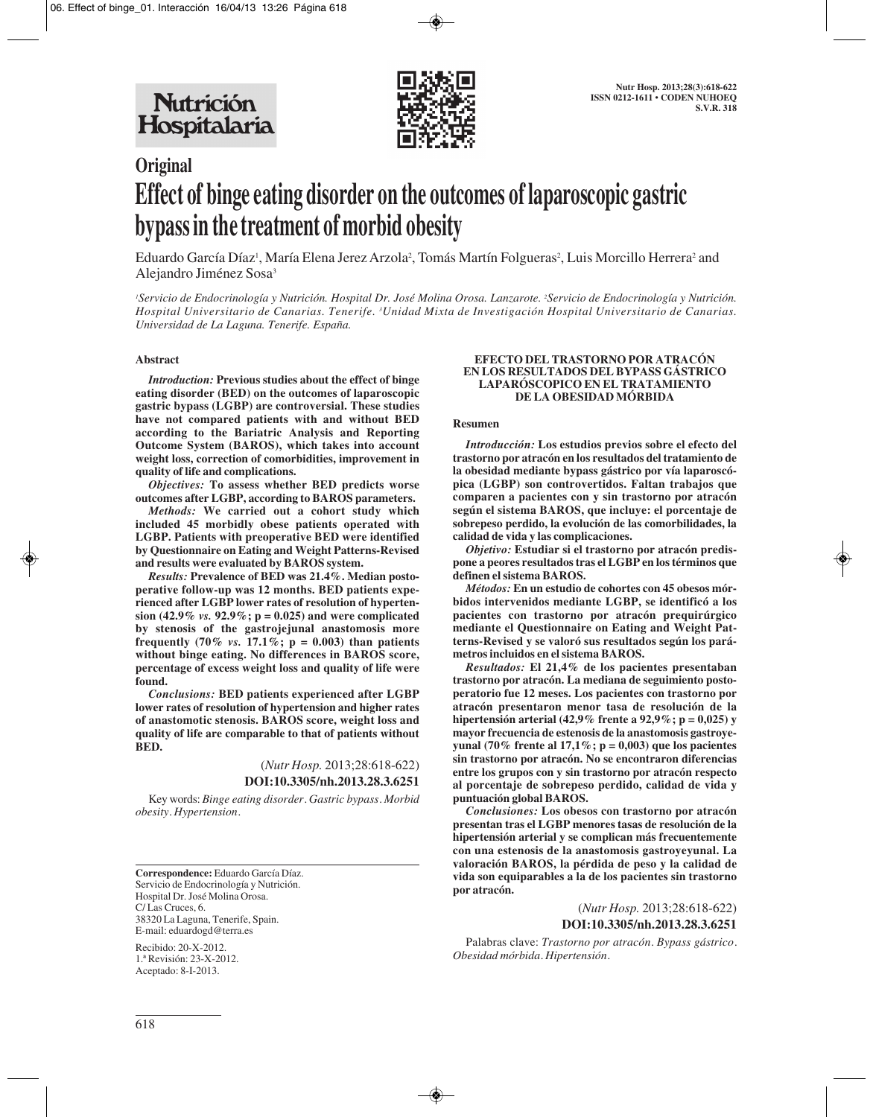

# **Original Effect of binge eating disorder on the outcomes of laparoscopic gastric bypass in the treatment of morbid obesity**

Eduardo García Díaz', María Elena Jerez Arzola<sup>2</sup>, Tomás Martín Folgueras<sup>2</sup>, Luis Morcillo Herrera<sup>2</sup> and Alejandro Jiménez Sosa3

*1 Servicio de Endocrinología y Nutrición. Hospital Dr. José Molina Orosa. Lanzarote. 2 Servicio de Endocrinología y Nutrición. Hospital Universitario de Canarias. Tenerife. 3 Unidad Mixta de Investigación Hospital Universitario de Canarias. Universidad de La Laguna. Tenerife. España.* 

## **Abstract**

*Introduction:* **Previous studies about the effect of binge eating disorder (BED) on the outcomes of laparoscopic gastric bypass (LGBP) are controversial. These studies have not compared patients with and without BED according to the Bariatric Analysis and Reporting Outcome System (BAROS), which takes into account weight loss, correction of comorbidities, improvement in quality of life and complications.**

*Objectives:* **To assess whether BED predicts worse outcomes after LGBP, according to BAROS parameters.**

*Methods:* **We carried out a cohort study which included 45 morbidly obese patients operated with LGBP. Patients with preoperative BED were identified by Questionnaire on Eating and Weight Patterns-Revised and results were evaluated by BAROS system.**

*Results:* **Prevalence of BED was 21.4%. Median postoperative follow-up was 12 months. BED patients experienced after LGBP lower rates of resolution of hypertension (42.9%** *vs.* **92.9%; p = 0.025) and were complicated by stenosis of the gastrojejunal anastomosis more frequently (70%** *vs.* **17.1%; p = 0.003) than patients without binge eating. No differences in BAROS score, percentage of excess weight loss and quality of life were found.** 

*Conclusions:* **BED patients experienced after LGBP lower rates of resolution of hypertension and higher rates of anastomotic stenosis. BAROS score, weight loss and quality of life are comparable to that of patients without BED.**

> (*Nutr Hosp.* 2013;28:618-622) **DOI:10.3305/nh.2013.28.3.6251**

Key words: *Binge eating disorder. Gastric bypass. Morbid obesity. Hypertension.*

**Correspondence:** Eduardo García Díaz. Servicio de Endocrinología y Nutrición. Hospital Dr. José Molina Orosa. C/ Las Cruces, 6. 38320 La Laguna, Tenerife, Spain. E-mail: eduardogd@terra.es

Recibido: 20-X-2012. 1.ª Revisión: 23-X-2012. Aceptado: 8-I-2013.

#### **EFECTO DEL TRASTORNO POR ATRACÓN EN LOS RESULTADOS DEL BYPASS GÁSTRICO LAPARÓSCOPICO EN EL TRATAMIENTO DE LA OBESIDAD MÓRBIDA**

## **Resumen**

*Introducción:* **Los estudios previos sobre el efecto del trastorno por atracón en los resultados del tratamiento de la obesidad mediante bypass gástrico por vía laparoscópica (LGBP) son controvertidos. Faltan trabajos que comparen a pacientes con y sin trastorno por atracón según el sistema BAROS, que incluye: el porcentaje de sobrepeso perdido, la evolución de las comorbilidades, la calidad de vida y las complicaciones.**

*Objetivo:* **Estudiar si el trastorno por atracón predispone a peores resultados tras el LGBP en los términos que definen el sistema BAROS.**

*Métodos:* **En un estudio de cohortes con 45 obesos mórbidos intervenidos mediante LGBP, se identificó a los pacientes con trastorno por atracón prequirúrgico mediante el Questionnaire on Eating and Weight Patterns-Revised y se valoró sus resultados según los parámetros incluidos en el sistema BAROS.**

*Resultados:* **El 21,4% de los pacientes presentaban trastorno por atracón. La mediana de seguimiento postoperatorio fue 12 meses. Los pacientes con trastorno por atracón presentaron menor tasa de resolución de la hipertensión arterial (42,9% frente a 92,9%; p = 0,025) y mayor frecuencia de estenosis de la anastomosis gastroyeyunal (70% frente al 17,1%; p = 0,003) que los pacientes sin trastorno por atracón. No se encontraron diferencias entre los grupos con y sin trastorno por atracón respecto al porcentaje de sobrepeso perdido, calidad de vida y puntuación global BAROS.** 

*Conclusiones:* **Los obesos con trastorno por atracón presentan tras el LGBP menores tasas de resolución de la hipertensión arterial y se complican más frecuentemente con una estenosis de la anastomosis gastroyeyunal. La valoración BAROS, la pérdida de peso y la calidad de vida son equiparables a la de los pacientes sin trastorno por atracón.**

(*Nutr Hosp.* 2013;28:618-622)

**DOI:10.3305/nh.2013.28.3.6251**

Palabras clave: *Trastorno por atracón. Bypass gástrico. Obesidad mórbida. Hipertensión.*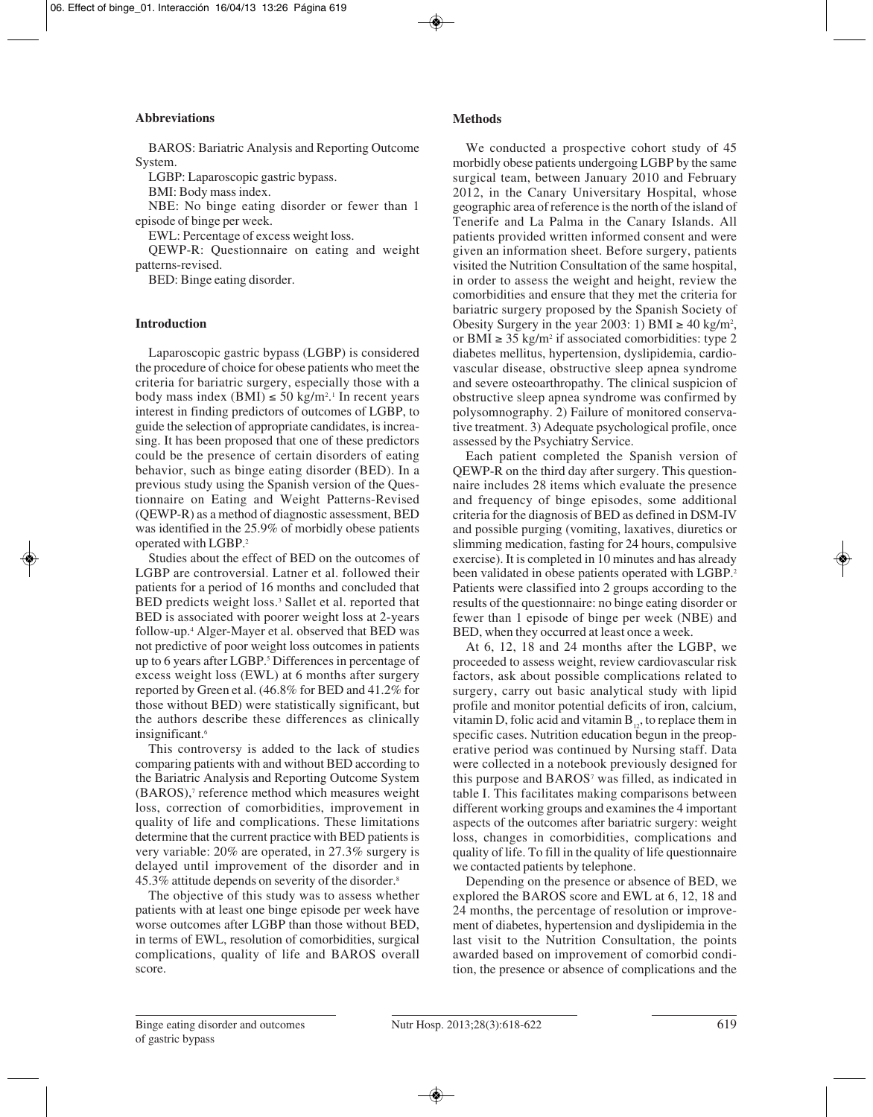# **Abbreviations**

BAROS: Bariatric Analysis and Reporting Outcome System.

LGBP: Laparoscopic gastric bypass.

BMI: Body mass index.

NBE: No binge eating disorder or fewer than 1 episode of binge per week.

EWL: Percentage of excess weight loss.

QEWP-R: Questionnaire on eating and weight patterns-revised.

BED: Binge eating disorder.

# **Introduction**

Laparoscopic gastric bypass (LGBP) is considered the procedure of choice for obese patients who meet the criteria for bariatric surgery, especially those with a body mass index  $(BMI) \le 50 \text{ kg/m}^2$ .<sup>1</sup> In recent years interest in finding predictors of outcomes of LGBP, to guide the selection of appropriate candidates, is increasing. It has been proposed that one of these predictors could be the presence of certain disorders of eating behavior, such as binge eating disorder (BED). In a previous study using the Spanish version of the Questionnaire on Eating and Weight Patterns-Revised (QEWP-R) as a method of diagnostic assessment, BED was identified in the 25.9% of morbidly obese patients operated with LGBP.2

Studies about the effect of BED on the outcomes of LGBP are controversial. Latner et al. followed their patients for a period of 16 months and concluded that BED predicts weight loss.<sup>3</sup> Sallet et al. reported that BED is associated with poorer weight loss at 2-years follow-up.4 Alger-Mayer et al. observed that BED was not predictive of poor weight loss outcomes in patients up to 6 years after LGBP.<sup>5</sup> Differences in percentage of excess weight loss (EWL) at 6 months after surgery reported by Green et al. (46.8% for BED and 41.2% for those without BED) were statistically significant, but the authors describe these differences as clinically insignificant.6

This controversy is added to the lack of studies comparing patients with and without BED according to the Bariatric Analysis and Reporting Outcome System  $(BAROS)$ ,<sup>7</sup> reference method which measures weight loss, correction of comorbidities, improvement in quality of life and complications. These limitations determine that the current practice with BED patients is very variable: 20% are operated, in 27.3% surgery is delayed until improvement of the disorder and in 45.3% attitude depends on severity of the disorder.8

The objective of this study was to assess whether patients with at least one binge episode per week have worse outcomes after LGBP than those without BED, in terms of EWL, resolution of comorbidities, surgical complications, quality of life and BAROS overall score.

# **Methods**

We conducted a prospective cohort study of 45 morbidly obese patients undergoing LGBP by the same surgical team, between January 2010 and February 2012, in the Canary Universitary Hospital, whose geographic area of reference is the north of the island of Tenerife and La Palma in the Canary Islands. All patients provided written informed consent and were given an information sheet. Before surgery, patients visited the Nutrition Consultation of the same hospital, in order to assess the weight and height, review the comorbidities and ensure that they met the criteria for bariatric surgery proposed by the Spanish Society of Obesity Surgery in the year 2003: 1) BMI  $\geq 40 \text{ kg/m}^2$ , or BMI  $\geq$  35 kg/m<sup>2</sup> if associated comorbidities: type 2 diabetes mellitus, hypertension, dyslipidemia, cardiovascular disease, obstructive sleep apnea syndrome and severe osteoarthropathy. The clinical suspicion of obstructive sleep apnea syndrome was confirmed by polysomnography. 2) Failure of monitored conservative treatment. 3) Adequate psychological profile, once assessed by the Psychiatry Service.

Each patient completed the Spanish version of QEWP-R on the third day after surgery. This questionnaire includes 28 items which evaluate the presence and frequency of binge episodes, some additional criteria for the diagnosis of BED as defined in DSM-IV and possible purging (vomiting, laxatives, diuretics or slimming medication, fasting for 24 hours, compulsive exercise). It is completed in 10 minutes and has already been validated in obese patients operated with LGBP.<sup>2</sup> Patients were classified into 2 groups according to the results of the questionnaire: no binge eating disorder or fewer than 1 episode of binge per week (NBE) and BED, when they occurred at least once a week.

At 6, 12, 18 and 24 months after the LGBP, we proceeded to assess weight, review cardiovascular risk factors, ask about possible complications related to surgery, carry out basic analytical study with lipid profile and monitor potential deficits of iron, calcium, vitamin D, folic acid and vitamin  $B_{12}$ , to replace them in specific cases. Nutrition education begun in the preoperative period was continued by Nursing staff. Data were collected in a notebook previously designed for this purpose and BAROS<sup>7</sup> was filled, as indicated in table I. This facilitates making comparisons between different working groups and examines the 4 important aspects of the outcomes after bariatric surgery: weight loss, changes in comorbidities, complications and quality of life. To fill in the quality of life questionnaire we contacted patients by telephone.

Depending on the presence or absence of BED, we explored the BAROS score and EWL at 6, 12, 18 and 24 months, the percentage of resolution or improvement of diabetes, hypertension and dyslipidemia in the last visit to the Nutrition Consultation, the points awarded based on improvement of comorbid condition, the presence or absence of complications and the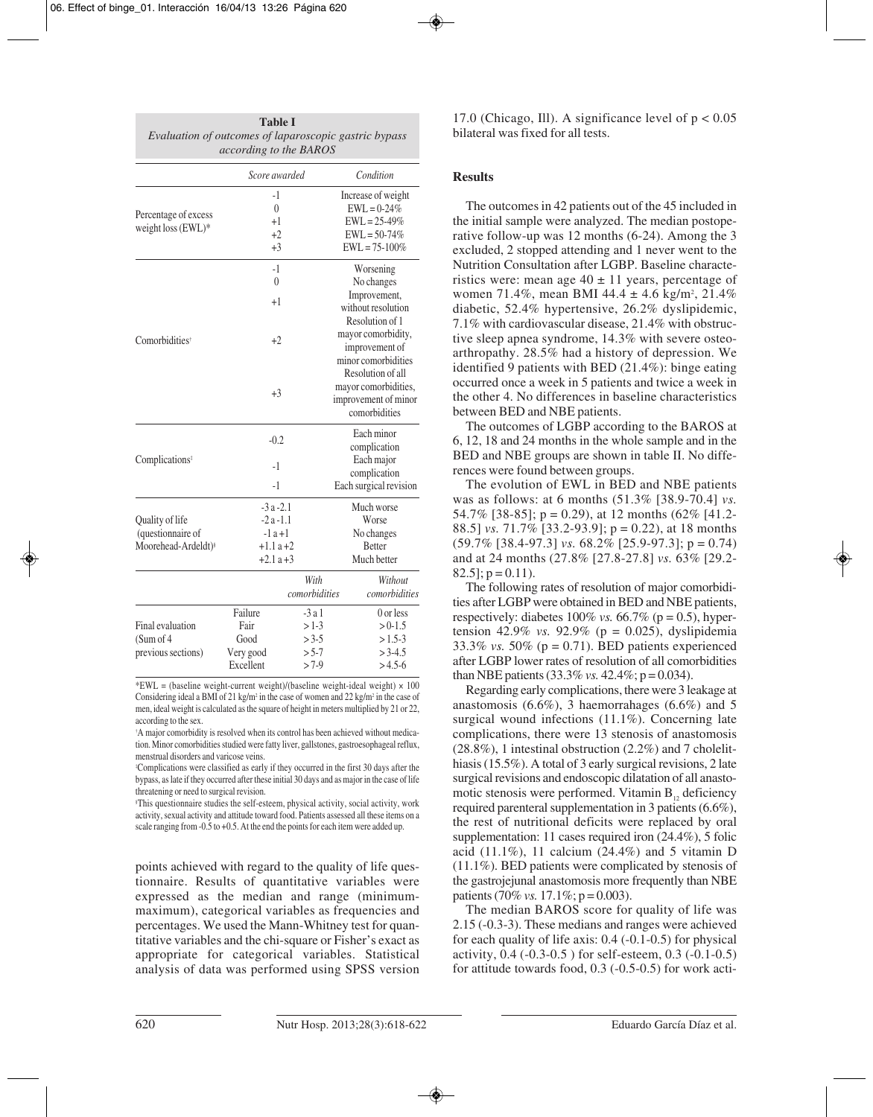| <b>Table I</b>                                        |
|-------------------------------------------------------|
| Evaluation of outcomes of laparoscopic gastric bypass |
| <i>according to the BAROS</i>                         |

|                                            | Score awarded |               | Condition              |  |  |
|--------------------------------------------|---------------|---------------|------------------------|--|--|
|                                            | $-1$          |               | Increase of weight     |  |  |
|                                            | $\theta$      |               | $EWL = 0-24%$          |  |  |
| Percentage of excess<br>weight loss (EWL)* | +1            |               | $EWL = 25-49\%$        |  |  |
|                                            | $+2$          |               | $EWL = 50-74%$         |  |  |
|                                            | $+3$          |               | $EWL = 75 - 100\%$     |  |  |
|                                            | $-1$          |               | Worsening              |  |  |
|                                            | $\theta$      |               | No changes             |  |  |
|                                            | $+1$          |               | Improvement,           |  |  |
|                                            |               |               | without resolution     |  |  |
|                                            |               |               | Resolution of 1        |  |  |
|                                            |               |               | mayor comorbidity,     |  |  |
| Comorbidities <sup>†</sup>                 | $+2$          |               | improvement of         |  |  |
|                                            |               |               | minor comorbidities    |  |  |
|                                            |               |               | Resolution of all      |  |  |
|                                            |               |               | mayor comorbidities,   |  |  |
|                                            | $+3$          |               | improvement of minor   |  |  |
|                                            |               |               | comorbidities          |  |  |
| Complications <sup>‡</sup>                 |               |               | Each minor             |  |  |
|                                            | $-0.2$        |               | complication           |  |  |
|                                            |               |               | Each major             |  |  |
|                                            | $-1$          |               | complication           |  |  |
|                                            | $-1$          |               | Each surgical revision |  |  |
|                                            | $-3a-2.1$     |               | Much worse             |  |  |
| Quality of life                            | $-2a-1.1$     |               | Worse                  |  |  |
| (questionnaire of                          | $-1a+1$       |               | No changes             |  |  |
| Moorehead-Ardeldt) <sup>§</sup>            | $+1.1a+2$     |               | <b>Better</b>          |  |  |
|                                            | $+2.1a+3$     |               | Much better            |  |  |
|                                            |               | With          | Without                |  |  |
|                                            |               | comorbidities | comorbidities          |  |  |
|                                            | Failure       | $-3a1$        | 0 or less              |  |  |
| Final evaluation                           | Fair          | $>1-3$        | $> 0-1.5$              |  |  |
| (Sum of 4)                                 | Good          | $> 3 - 5$     | $>1.5-3$               |  |  |
| previous sections)                         | Very good     | $> 5-7$       | $> 3-4.5$              |  |  |
|                                            | Excellent     | $>7-9$        | $>4.5-6$               |  |  |

\*EWL = (baseline weight-current weight)/(baseline weight-ideal weight)  $\times$  100 Considering ideal a BMI of 21 kg/m<sup>2</sup> in the case of women and 22 kg/m<sup>2</sup> in the case of men, ideal weight is calculated as the square of height in meters multiplied by 21 or 22, according to the sex.

† A major comorbidity is resolved when its control has been achieved without medication. Minor comorbidities studied were fatty liver, gallstones, gastroesophageal reflux, menstrual disorders and varicose veins.

‡ Complications were classified as early if they occurred in the first 30 days after the bypass, as late if they occurred after these initial 30 days and as major in the case of life threatening or need to surgical revision.

§ This questionnaire studies the self-esteem, physical activity, social activity, work activity, sexual activity and attitude toward food. Patients assessed all these items on a scale ranging from -0.5 to +0.5. At the end the points for each item were added up.

points achieved with regard to the quality of life questionnaire. Results of quantitative variables were expressed as the median and range (minimummaximum), categorical variables as frequencies and percentages. We used the Mann-Whitney test for quantitative variables and the chi-square or Fisher's exact as appropriate for categorical variables. Statistical analysis of data was performed using SPSS version 17.0 (Chicago, Ill). A significance level of  $p < 0.05$ bilateral was fixed for all tests.

# **Results**

The outcomes in 42 patients out of the 45 included in the initial sample were analyzed. The median postoperative follow-up was 12 months (6-24). Among the 3 excluded, 2 stopped attending and 1 never went to the Nutrition Consultation after LGBP. Baseline characteristics were: mean age  $40 \pm 11$  years, percentage of women 71.4%, mean BMI 44.4  $\pm$  4.6 kg/m<sup>2</sup>, 21.4% diabetic, 52.4% hypertensive, 26.2% dyslipidemic, 7.1% with cardiovascular disease, 21.4% with obstructive sleep apnea syndrome, 14.3% with severe osteoarthropathy. 28.5% had a history of depression. We identified 9 patients with BED (21.4%): binge eating occurred once a week in 5 patients and twice a week in the other 4. No differences in baseline characteristics between BED and NBE patients.

The outcomes of LGBP according to the BAROS at 6, 12, 18 and 24 months in the whole sample and in the BED and NBE groups are shown in table II. No differences were found between groups.

The evolution of EWL in BED and NBE patients was as follows: at 6 months (51.3% [38.9-70.4] *vs.* 54.7% [38-85];  $p = 0.29$ ), at 12 months (62% [41.2-88.5] *vs.* 71.7% [33.2-93.9]; p = 0.22), at 18 months (59.7% [38.4-97.3] *vs.* 68.2% [25.9-97.3]; p = 0.74) and at 24 months (27.8% [27.8-27.8] *vs.* 63% [29.2-  $82.5$ ;  $p = 0.11$ ).

The following rates of resolution of major comorbidities after LGBP were obtained in BED and NBE patients, respectively: diabetes  $100\%$  *vs.* 66.7% ( $p = 0.5$ ), hypertension 42.9% *vs.* 92.9% ( $p = 0.025$ ), dyslipidemia 33.3% *vs.* 50% (p = 0.71). BED patients experienced after LGBP lower rates of resolution of all comorbidities than NBE patients  $(33.3\% \text{ vs. } 42.4\%; p = 0.034)$ .

Regarding early complications, there were 3 leakage at anastomosis (6.6%), 3 haemorrahages (6.6%) and 5 surgical wound infections (11.1%). Concerning late complications, there were 13 stenosis of anastomosis (28.8%), 1 intestinal obstruction (2.2%) and 7 cholelithiasis (15.5%). A total of 3 early surgical revisions, 2 late surgical revisions and endoscopic dilatation of all anastomotic stenosis were performed. Vitamin  $B_{12}$  deficiency required parenteral supplementation in 3 patients (6.6%), the rest of nutritional deficits were replaced by oral supplementation: 11 cases required iron  $(24.4\%)$ , 5 folic acid (11.1%), 11 calcium (24.4%) and 5 vitamin D (11.1%). BED patients were complicated by stenosis of the gastrojejunal anastomosis more frequently than NBE patients (70% *vs.* 17.1%;  $p = 0.003$ ).

The median BAROS score for quality of life was 2.15 (-0.3-3). These medians and ranges were achieved for each quality of life axis: 0.4 (-0.1-0.5) for physical activity, 0.4 (-0.3-0.5 ) for self-esteem, 0.3 (-0.1-0.5) for attitude towards food, 0.3 (-0.5-0.5) for work acti-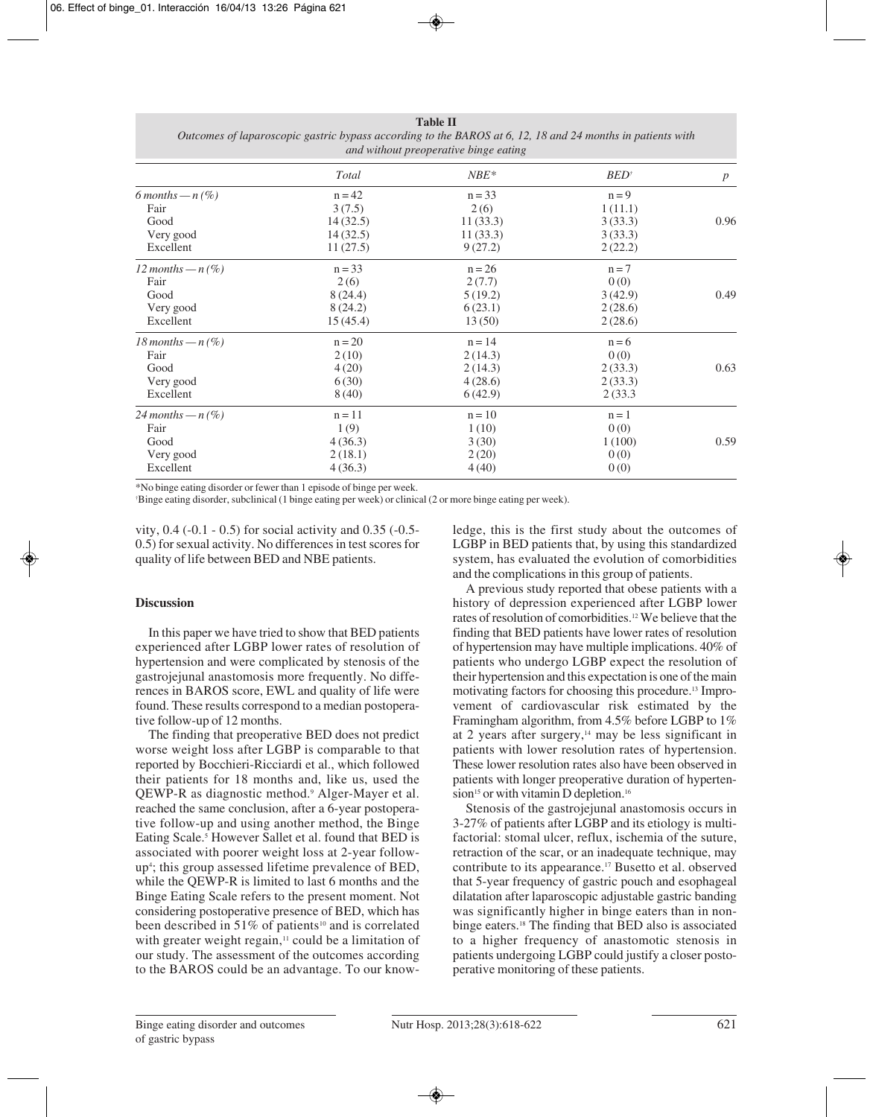| and without preoperative binge eating |          |          |                         |                  |  |  |
|---------------------------------------|----------|----------|-------------------------|------------------|--|--|
|                                       | Total    | $NBE*$   | <b>BED</b> <sup>†</sup> | $\boldsymbol{p}$ |  |  |
| 6 months $-n(%)$                      | $n = 42$ | $n = 33$ | $n = 9$                 |                  |  |  |
| Fair                                  | 3(7.5)   | 2(6)     | 1(11.1)                 |                  |  |  |
| Good                                  | 14(32.5) | 11(33.3) | 3(33.3)                 | 0.96             |  |  |
| Very good                             | 14(32.5) | 11(33.3) | 3(33.3)                 |                  |  |  |
| Excellent                             | 11(27.5) | 9(27.2)  | 2(22.2)                 |                  |  |  |
| 12 months $-n(\%)$                    | $n = 33$ | $n = 26$ | $n = 7$                 |                  |  |  |
| Fair                                  | 2(6)     | 2(7.7)   | 0(0)                    |                  |  |  |
| Good                                  | 8(24.4)  | 5(19.2)  | 3(42.9)                 | 0.49             |  |  |
| Very good                             | 8(24.2)  | 6(23.1)  | 2(28.6)                 |                  |  |  |
| Excellent                             | 15(45.4) | 13(50)   | 2(28.6)                 |                  |  |  |
| 18 months $-n(%)$                     | $n = 20$ | $n = 14$ | $n = 6$                 |                  |  |  |
| Fair                                  | 2(10)    | 2(14.3)  | 0(0)                    |                  |  |  |
| Good                                  | 4(20)    | 2(14.3)  | 2(33.3)                 | 0.63             |  |  |
| Very good                             | 6(30)    | 4(28.6)  | 2(33.3)                 |                  |  |  |
| Excellent                             | 8(40)    | 6(42.9)  | 2(33.3)                 |                  |  |  |
| 24 months $-n(%)$                     | $n = 11$ | $n = 10$ | $n = 1$                 |                  |  |  |
| Fair                                  | 1(9)     | 1(10)    | 0(0)                    |                  |  |  |
| Good                                  | 4(36.3)  | 3(30)    | 1(100)                  | 0.59             |  |  |
| Very good                             | 2(18.1)  | 2(20)    | 0(0)                    |                  |  |  |
| Excellent                             | 4(36.3)  | 4(40)    | 0(0)                    |                  |  |  |

**Table II** *Outcomes of laparoscopic gastric bypass according to the BAROS at 6, 12, 18 and 24 months in patients with*

\*No binge eating disorder or fewer than 1 episode of binge per week.

† Binge eating disorder, subclinical (1 binge eating per week) or clinical (2 or more binge eating per week).

vity, 0.4 (-0.1 - 0.5) for social activity and 0.35 (-0.5- 0.5) for sexual activity. No differences in test scores for quality of life between BED and NBE patients.

# **Discussion**

In this paper we have tried to show that BED patients experienced after LGBP lower rates of resolution of hypertension and were complicated by stenosis of the gastrojejunal anastomosis more frequently. No differences in BAROS score, EWL and quality of life were found. These results correspond to a median postoperative follow-up of 12 months.

The finding that preoperative BED does not predict worse weight loss after LGBP is comparable to that reported by Bocchieri-Ricciardi et al., which followed their patients for 18 months and, like us, used the QEWP-R as diagnostic method.9 Alger-Mayer et al. reached the same conclusion, after a 6-year postoperative follow-up and using another method, the Binge Eating Scale.<sup>5</sup> However Sallet et al. found that BED is associated with poorer weight loss at 2-year followup4 ; this group assessed lifetime prevalence of BED, while the QEWP-R is limited to last 6 months and the Binge Eating Scale refers to the present moment. Not considering postoperative presence of BED, which has been described in 51% of patients<sup>10</sup> and is correlated with greater weight regain,<sup>11</sup> could be a limitation of our study. The assessment of the outcomes according to the BAROS could be an advantage. To our knowledge, this is the first study about the outcomes of LGBP in BED patients that, by using this standardized system, has evaluated the evolution of comorbidities and the complications in this group of patients.

A previous study reported that obese patients with a history of depression experienced after LGBP lower rates of resolution of comorbidities.12 We believe that the finding that BED patients have lower rates of resolution of hypertension may have multiple implications. 40% of patients who undergo LGBP expect the resolution of their hypertension and this expectation is one of the main motivating factors for choosing this procedure.13 Improvement of cardiovascular risk estimated by the Framingham algorithm, from 4.5% before LGBP to 1% at 2 years after surgery, $14$  may be less significant in patients with lower resolution rates of hypertension. These lower resolution rates also have been observed in patients with longer preoperative duration of hypertension<sup>15</sup> or with vitamin D depletion.<sup>16</sup>

Stenosis of the gastrojejunal anastomosis occurs in 3-27% of patients after LGBP and its etiology is multifactorial: stomal ulcer, reflux, ischemia of the suture, retraction of the scar, or an inadequate technique, may contribute to its appearance.17 Busetto et al. observed that 5-year frequency of gastric pouch and esophageal dilatation after laparoscopic adjustable gastric banding was significantly higher in binge eaters than in nonbinge eaters.18 The finding that BED also is associated to a higher frequency of anastomotic stenosis in patients undergoing LGBP could justify a closer postoperative monitoring of these patients.